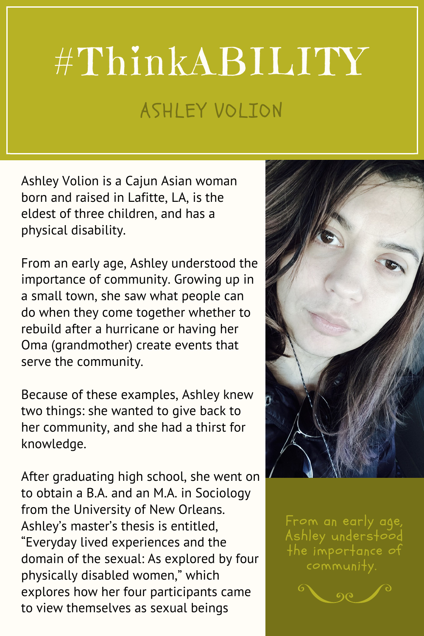## #ThinkABILITY ASHLEY VOLION

Ashley Volion is a Cajun Asian woman born and raised in Lafitte, LA, is the eldest of three children, and has a physical disability.

From an early age, Ashley understood the importance of community. Growing up in a small town, she saw what people can do when they come together whether to rebuild after a hurricane or having her Oma (grandmother) create events that serve the community.

Because of these examples, Ashley knew two things: she wanted to give back to her community, and she had a thirst for knowledge.

After graduating high school, she went on to obtain a B.A. and an M.A. in Sociology from the University of New Orleans. Ashley's master's thesis is entitled, "Everyday lived experiences and the domain of the sexual: As explored by four physically disabled women," which explores how her four participants came to view themselves as sexual beings



From an early age, Ashley understood the importance of community.